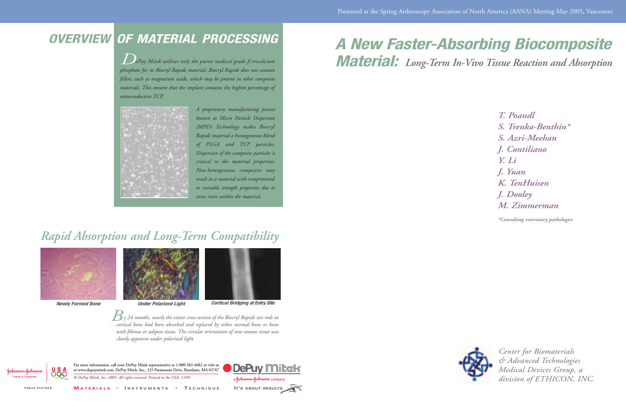## *OVERVIEW OF MATERIAL PROCESSING*

*ePuy Mitek utilizes only the purest medical grade ß-tricalcium phosphate for its Biocryl Rapide material. Biocryl Rapide does not contain fillers, such as magnesium oxide, which may be present in other composite materials. This ensures that the implant contains the highest percentage of osteoconductive TCP. D*





*Newly Formed Bone Under Polarized Light Cortical Bridging at Entry Site*

*A proprietary manufacturing process known as Micro Particle Dispersion (MPD) Technology makes Biocryl Rapide material a homogeneous blend of PLGA and TCP particles. Dispersion of the composite particles is critical to the material properties. Non-homogeneous composites may result in a material with compromised or variable strength properties due to stress risers within the material.* 

## *Rapid Absorption and Long-Term Compatibility*





*y 24 months, nearly the entire cross-section of the Biocryl Rapide test rods in cortical bone had been absorbed and replaced by either normal bone or bone with fibrous or adipose tissue. The circular orientation of new osseous tissue was clearly apparent under polarized light. B*



*Center for Biomaterials & Advanced Technologies Medical Devices Group, a division of ETHICON, INC.*

*T. Poandl S. Trenka-Benthin\* S. Azri-Meehan J. Contiliano Y. Li J. Yuan K. TenHuisen J. Dooley M. Zimmerman*

## *A New Faster-Absorbing Biocomposite Material: Long-Term In-Vivo Tissue Reaction and Absorption*

*\*Consulting veterinary pathologist*





*@ DePuy Mitek, Inc. 2005. All rights reserved. Printed in the USA. 11/05* **For more information, call your DePuy Mitek representative at 1-800-382-4682 or visit us at www.depuymitek.com. DePuy Mitek, Inc., 325 Paramount Drive, Raynham, MA 02767**

**M ATERIALS • I NSTRUMENTS • T ECHNIQUE**